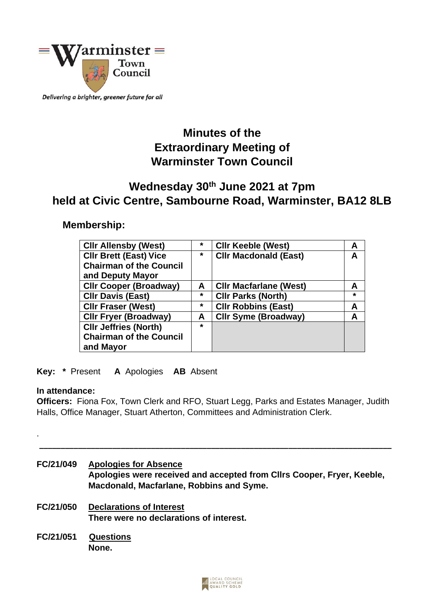

Delivering a brighter, greener future for all

# **Minutes of the Extraordinary Meeting of Warminster Town Council**

## **Wednesday 30th June 2021 at 7pm held at Civic Centre, Sambourne Road, Warminster, BA12 8LB**

## **Membership:**

| <b>CIIr Allensby (West)</b>    | $\star$ | <b>CIIr Keeble (West)</b>     | А       |
|--------------------------------|---------|-------------------------------|---------|
| <b>CIIr Brett (East) Vice</b>  | $\star$ | <b>CIIr Macdonald (East)</b>  | A       |
| <b>Chairman of the Council</b> |         |                               |         |
| and Deputy Mayor               |         |                               |         |
| <b>Cllr Cooper (Broadway)</b>  | A       | <b>CIIr Macfarlane (West)</b> | A       |
| <b>CIIr Davis (East)</b>       | $\star$ | <b>CIIr Parks (North)</b>     | $\star$ |
| <b>CIIr Fraser (West)</b>      | $\star$ | <b>CIIr Robbins (East)</b>    | A       |
| <b>CIIr Fryer (Broadway)</b>   | A       | <b>CIIr Syme (Broadway)</b>   | A       |
| <b>CIIr Jeffries (North)</b>   | $\star$ |                               |         |
| <b>Chairman of the Council</b> |         |                               |         |
| and Mayor                      |         |                               |         |

**Key: \*** Present **A** Apologies **AB** Absent

#### **In attendance:**

.

**Officers:** Fiona Fox, Town Clerk and RFO, Stuart Legg, Parks and Estates Manager, Judith Halls, Office Manager, Stuart Atherton, Committees and Administration Clerk.

 **\_\_\_\_\_\_\_\_\_\_\_\_\_\_\_\_\_\_\_\_\_\_\_\_\_\_\_\_\_\_\_\_\_\_\_\_\_\_\_\_\_\_\_\_\_\_\_\_\_\_\_\_\_\_\_\_\_\_\_\_\_\_\_\_\_\_\_\_\_\_\_\_\_\_\_\_\_\_\_\_\_\_**

**FC/21/049 Apologies for Absence Apologies were received and accepted from Cllrs Cooper, Fryer, Keeble, Macdonald, Macfarlane, Robbins and Syme. FC/21/050 Declarations of Interest There were no declarations of interest. FC/21/051 Questions None.**